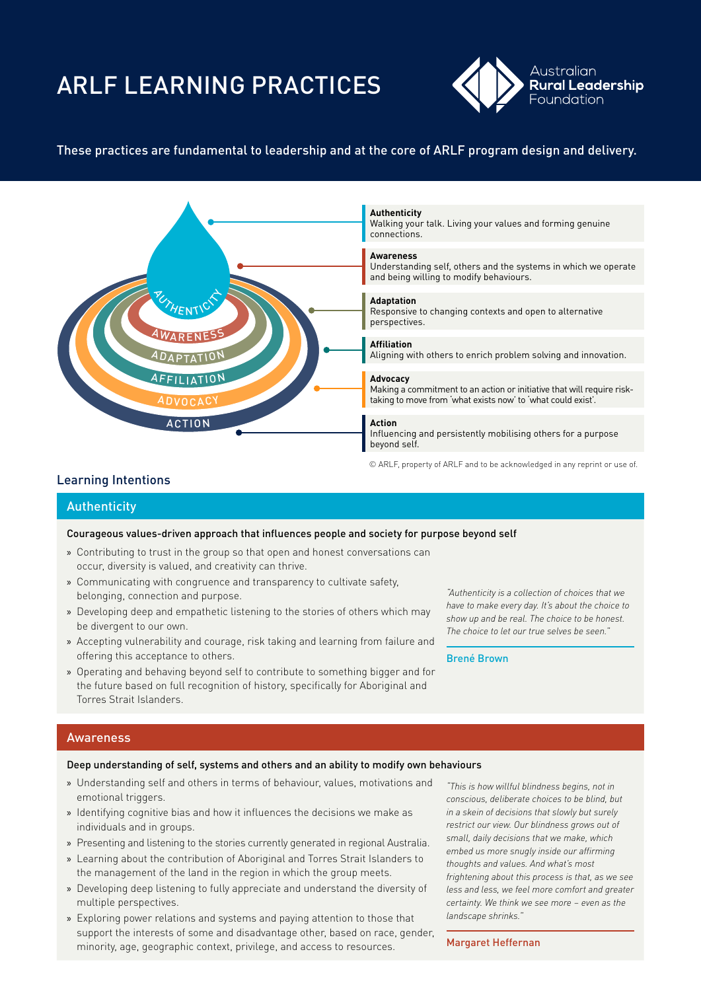# ARLF LEARNING PRACTICES



# These practices are fundamental to leadership and at the core of ARLF program design and delivery.



© ARLF, property of ARLF and to be acknowledged in any reprint or use of.

# Learning Intentions

## **Authenticity**

## Courageous values-driven approach that influences people and society for purpose beyond self

- » Contributing to trust in the group so that open and honest conversations can occur, diversity is valued, and creativity can thrive.
- » Communicating with congruence and transparency to cultivate safety, belonging, connection and purpose.
- » Developing deep and empathetic listening to the stories of others which may be divergent to our own.
- » Accepting vulnerability and courage, risk taking and learning from failure and offering this acceptance to others.
- » Operating and behaving beyond self to contribute to something bigger and for the future based on full recognition of history, specifically for Aboriginal and Torres Strait Islanders.

*"Authenticity is a collection of choices that we have to make every day. It's about the choice to show up and be real. The choice to be honest. The choice to let our true selves be seen.*"

Brené Brown

# Awareness

## Deep understanding of self, systems and others and an ability to modify own behaviours

- » Understanding self and others in terms of behaviour, values, motivations and emotional triggers.
- » Identifying cognitive bias and how it influences the decisions we make as individuals and in groups.
- » Presenting and listening to the stories currently generated in regional Australia.
- » Learning about the contribution of Aboriginal and Torres Strait Islanders to the management of the land in the region in which the group meets.
- » Developing deep listening to fully appreciate and understand the diversity of multiple perspectives.
- » Exploring power relations and systems and paying attention to those that support the interests of some and disadvantage other, based on race, gender, minority, age, geographic context, privilege, and access to resources.

*"This is how willful blindness begins, not in conscious, deliberate choices to be blind, but in a skein of decisions that slowly but surely restrict our view. Our blindness grows out of small, daily decisions that we make, which embed us more snugly inside our affirming thoughts and values. And what's most frightening about this process is that, as we see less and less, we feel more comfort and greater certainty. We think we see more – even as the landscape shrinks.*"

#### Margaret Heffernan